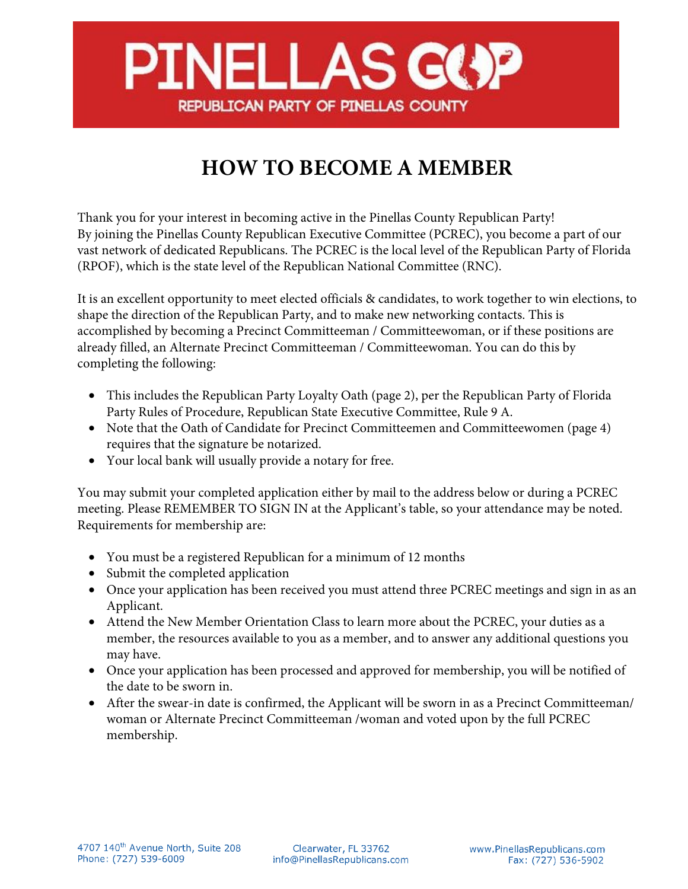

## **HOW TO BECOME A MEMBER**

Thank you for your interest in becoming active in the Pinellas County Republican Party! By joining the Pinellas County Republican Executive Committee (PCREC), you become a part of our vast network of dedicated Republicans. The PCREC is the local level of the Republican Party of Florida (RPOF), which is the state level of the Republican National Committee (RNC).

It is an excellent opportunity to meet elected officials & candidates, to work together to win elections, to shape the direction of the Republican Party, and to make new networking contacts. This is accomplished by becoming a Precinct Committeeman / Committeewoman, or if these positions are already filled, an Alternate Precinct Committeeman / Committeewoman. You can do this by completing the following:

- This includes the Republican Party Loyalty Oath (page 2), per the Republican Party of Florida Party Rules of Procedure, Republican State Executive Committee, Rule 9 A.
- Note that the Oath of Candidate for Precinct Committeemen and Committeewomen (page 4) requires that the signature be notarized.
- Your local bank will usually provide a notary for free.

You may submit your completed application either by mail to the address below or during a PCREC meeting. Please REMEMBER TO SIGN IN at the Applicant's table, so your attendance may be noted. Requirements for membership are:

- You must be a registered Republican for a minimum of 12 months
- Submit the completed application
- Once your application has been received you must attend three PCREC meetings and sign in as an Applicant.
- Attend the New Member Orientation Class to learn more about the PCREC, your duties as a member, the resources available to you as a member, and to answer any additional questions you may have.
- Once your application has been processed and approved for membership, you will be notified of the date to be sworn in.
- After the swear-in date is confirmed, the Applicant will be sworn in as a Precinct Committeeman/ woman or Alternate Precinct Committeeman /woman and voted upon by the full PCREC membership.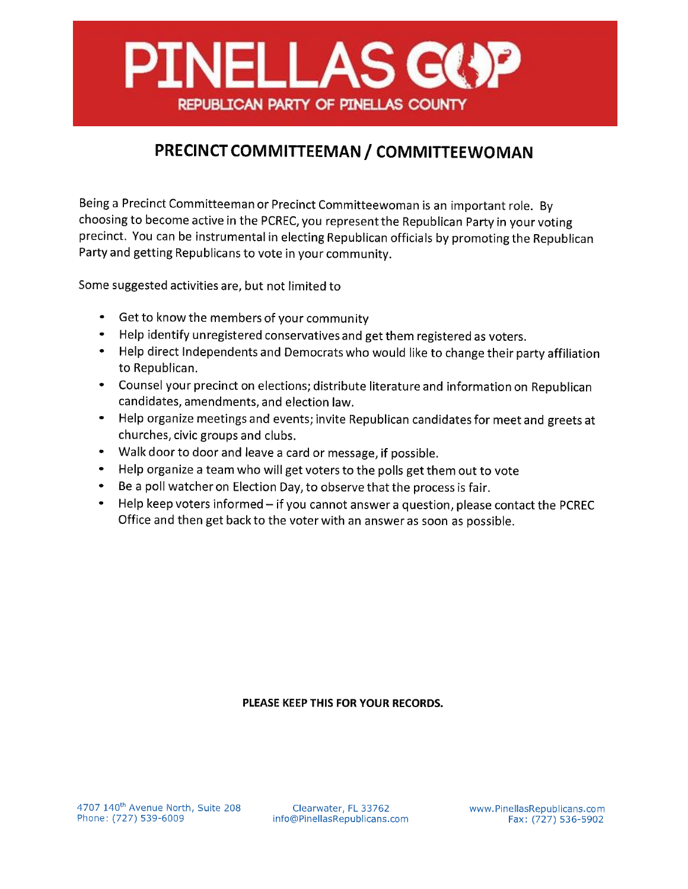

## PRECINCT COMMITTEEMAN / COMMITTEEWOMAN

Being a Precinct Committeeman or Precinct Committeewoman is an important role. By choosing to become active in the PCREC, you represent the Republican Party in your voting precinct. You can be instrumental in electing Republican officials by promoting the Republican Party and getting Republicans to vote in your community.

Some suggested activities are, but not limited to

- $\bullet$ Get to know the members of your community
- Help identify unregistered conservatives and get them registered as voters.  $\bullet$
- Help direct Independents and Democrats who would like to change their party affiliation to Republican.
- Counsel your precinct on elections; distribute literature and information on Republican candidates, amendments, and election law.
- Help organize meetings and events; invite Republican candidates for meet and greets at churches, civic groups and clubs.
- Walk door to door and leave a card or message, if possible.
- $\bullet$ Help organize a team who will get voters to the polls get them out to vote
- Be a poll watcher on Election Day, to observe that the process is fair.
- Help keep voters informed if you cannot answer a question, please contact the PCREC Office and then get back to the voter with an answer as soon as possible.

## PLEASE KEEP THIS FOR YOUR RECORDS.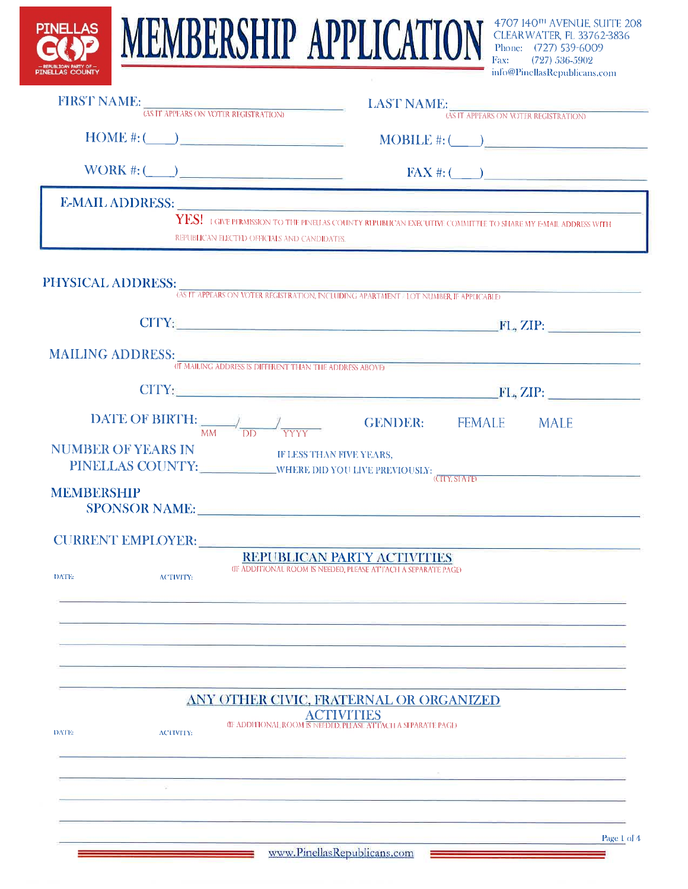| PINELLAS COUNTY                         |                          | FIRST NAME: <i>(AS IT APPEARS ON VOTER REGISTRATION)</i>                                                                                                                 |                                                                                              | <b>LAST NAME:</b> $\frac{1}{(48)17}$ APPEARS ON VOTER REGISTRATION) | info@PinellasRepublicans.com |  |  |  |  |
|-----------------------------------------|--------------------------|--------------------------------------------------------------------------------------------------------------------------------------------------------------------------|----------------------------------------------------------------------------------------------|---------------------------------------------------------------------|------------------------------|--|--|--|--|
|                                         |                          |                                                                                                                                                                          |                                                                                              |                                                                     |                              |  |  |  |  |
|                                         |                          |                                                                                                                                                                          | WORK #: $\qquad \qquad$ FAX #: $\qquad \qquad$                                               |                                                                     |                              |  |  |  |  |
|                                         |                          | $\mathbf{YES!}\pm$ give permission to the pinellas county republican executive committee to share my f-mail address with<br>REPUBLICAN ELECTED OFFICIALS AND CANDIDATES. |                                                                                              |                                                                     |                              |  |  |  |  |
|                                         |                          | PHYSICAL ADDRESS: GS IT APPEARS ON VOTER REGISTRATION, INCLUDING APARTMENT / LOT NUMBER, IF APPLICABLED                                                                  |                                                                                              |                                                                     |                              |  |  |  |  |
|                                         |                          |                                                                                                                                                                          |                                                                                              |                                                                     |                              |  |  |  |  |
|                                         |                          | (IF MAILING ADDRESS IS DIFFERENT THAN THE ADDRESS ABOVE)                                                                                                                 |                                                                                              |                                                                     |                              |  |  |  |  |
|                                         |                          | $CITY:$ FL, ZIP:                                                                                                                                                         |                                                                                              |                                                                     |                              |  |  |  |  |
|                                         |                          | <b>DATE OF BIRTH:</b> $\frac{1}{MM}$ $\frac{1}{DD}$ $\frac{1}{YYYY}$ <b>GENDER:</b> FEMALE MALE                                                                          |                                                                                              |                                                                     |                              |  |  |  |  |
| <b>NUMBER OF YEARS IN</b><br>MEMBERSHIP | <b>SPONSOR NAME:</b>     | IF LESS THAN FIVE YEARS,                                                                                                                                                 |                                                                                              |                                                                     |                              |  |  |  |  |
|                                         | <b>CURRENT EMPLOYER:</b> |                                                                                                                                                                          |                                                                                              |                                                                     |                              |  |  |  |  |
| DATE:                                   | <b>ACTIVITY:</b>         |                                                                                                                                                                          | REPUBLICAN PARTY ACTIVITIES<br>(JF ADDITIONAL ROOM IS NEEDED, PLEASE ATTACH A SEPARATE PAGE) |                                                                     |                              |  |  |  |  |
|                                         |                          |                                                                                                                                                                          |                                                                                              |                                                                     |                              |  |  |  |  |
| DATE:                                   | <b>ACTIVITY:</b>         | ANY OTHER CIVIC, FRATERNAL OR ORGANIZED                                                                                                                                  | ACTIVITIES<br><b>GE ADDITIONAL ROOM IS NEEDED, PLEASE ATTACH A SEPARATE PAGE:</b>            |                                                                     |                              |  |  |  |  |
|                                         |                          |                                                                                                                                                                          |                                                                                              |                                                                     |                              |  |  |  |  |
|                                         |                          |                                                                                                                                                                          |                                                                                              |                                                                     |                              |  |  |  |  |
|                                         |                          |                                                                                                                                                                          | www.PinellasRepublicans.com                                                                  |                                                                     | Page 1 of 4                  |  |  |  |  |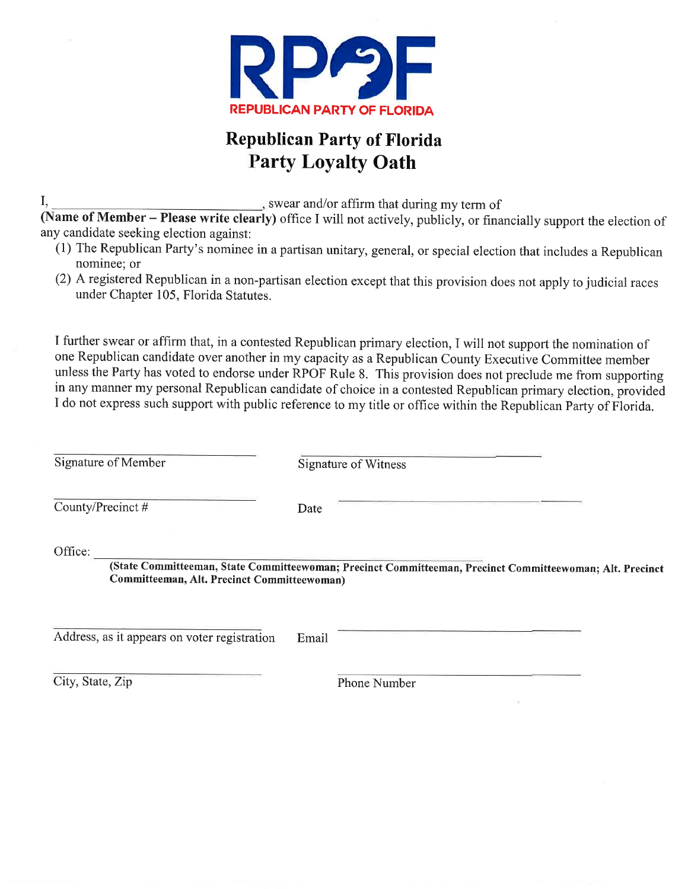

## **Republican Party of Florida Party Loyalty Oath**

, swear and/or affirm that during my term of

(Name of Member - Please write clearly) office I will not actively, publicly, or financially support the election of any candidate seeking election against:

- (1) The Republican Party's nominee in a partisan unitary, general, or special election that includes a Republican nominee: or
- (2) A registered Republican in a non-partisan election except that this provision does not apply to judicial races under Chapter 105, Florida Statutes.

I further swear or affirm that, in a contested Republican primary election, I will not support the nomination of one Republican candidate over another in my capacity as a Republican County Executive Committee member unless the Party has voted to endorse under RPOF Rule 8. This provision does not preclude me from supporting in any manner my personal Republican candidate of choice in a contested Republican primary election, provided I do not express such support with public reference to my title or office within the Republican Party of Florida.

**Signature of Member Signature of Witness** County/Precinct# Date Office: (State Committeeman, State Committeewoman; Precinct Committeeman, Precinct Committeewoman; Alt. Precinct Committeeman, Alt. Precinct Committeewoman) Address, as it appears on voter registration Email

City, State, Zip

 $\mathbf{I}$ 

Phone Number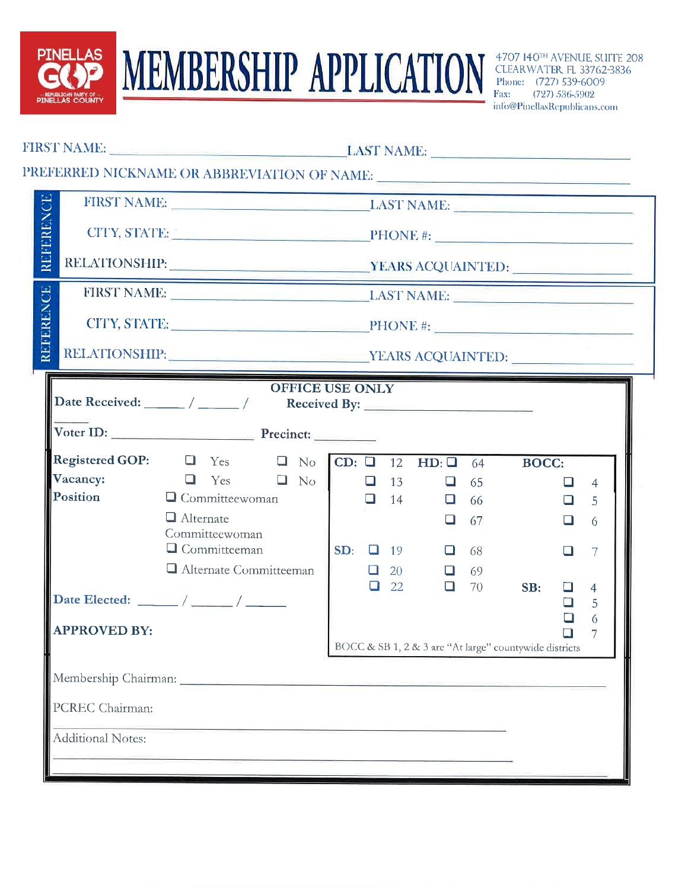

**MEMBERSHIP APPLICATION** 

4707 140TH AVENUE, SUITE 208 CLEARWATER, FL 33762-3836 Phone: (727) 539-6009 Fax: (727) 536-5902 info@PinellasRepublicans.com

| REFERENCE                                                                                      |                                                                                                                                                                                                 | FIRST NAME: LAST NAME:<br>CITY, STATE: $\triangle$ PHONE #: |  |  |  |                                                        |           |              |                  |                     |
|------------------------------------------------------------------------------------------------|-------------------------------------------------------------------------------------------------------------------------------------------------------------------------------------------------|-------------------------------------------------------------|--|--|--|--------------------------------------------------------|-----------|--------------|------------------|---------------------|
|                                                                                                |                                                                                                                                                                                                 |                                                             |  |  |  |                                                        |           |              |                  |                     |
|                                                                                                | FIRST NAME: LAST NAME:                                                                                                                                                                          |                                                             |  |  |  |                                                        |           |              |                  |                     |
| REFERENCE                                                                                      |                                                                                                                                                                                                 |                                                             |  |  |  |                                                        |           |              |                  |                     |
|                                                                                                |                                                                                                                                                                                                 | RELATIONSHIP: VEARS ACQUAINTED:                             |  |  |  |                                                        |           |              |                  |                     |
| Voter ID: Precinct:<br><b>Registered GOP:</b> $\Box$ Yes $\Box$ No CD: $\Box$ 12 HD: $\Box$ 64 |                                                                                                                                                                                                 |                                                             |  |  |  |                                                        |           |              |                  |                     |
|                                                                                                |                                                                                                                                                                                                 |                                                             |  |  |  |                                                        |           |              |                  |                     |
| Vacancy:                                                                                       |                                                                                                                                                                                                 |                                                             |  |  |  |                                                        |           | <b>BOCC:</b> | $\Box$           | $\overline{4}$      |
| Position                                                                                       | $\begin{array}{c c c c c c c c c} \hline \Box & \text{Yes} & \Box & \text{No} & \Box & 13 & \Box & 65 \\ \hline \Box & \text{Committeewoman} & & & \Box & 14 & \Box & 66 \\ \hline \end{array}$ |                                                             |  |  |  |                                                        |           |              | $\Box$           | 5                   |
|                                                                                                | $\Box$ Alternate<br>Committeewoman                                                                                                                                                              |                                                             |  |  |  |                                                        | $\Box$ 67 |              | $\Box$           | 6                   |
|                                                                                                | $\Box$ Committeeman                                                                                                                                                                             |                                                             |  |  |  | $SD:$ $\Box$ 19 $\Box$ 68                              |           |              | $\Box$           | $7\overline{ }$     |
|                                                                                                | Alternate Committeeman                                                                                                                                                                          |                                                             |  |  |  | $\Box$ 20                                              | $\Box$ 69 |              |                  |                     |
|                                                                                                |                                                                                                                                                                                                 |                                                             |  |  |  | $\begin{array}{ccc} \Box & 22 & \Box & 70 \end{array}$ |           | SB:          | $\Box$<br>$\Box$ | $\overline{4}$<br>5 |
| <b>APPROVED BY:</b>                                                                            |                                                                                                                                                                                                 |                                                             |  |  |  | BOCC & SB 1, 2 & 3 are "At large" countywide districts |           |              | ◻<br>$\Box$      | 6<br>7              |
|                                                                                                |                                                                                                                                                                                                 |                                                             |  |  |  |                                                        |           |              |                  |                     |
| PCREC Chairman:                                                                                |                                                                                                                                                                                                 |                                                             |  |  |  |                                                        |           |              |                  |                     |
|                                                                                                |                                                                                                                                                                                                 |                                                             |  |  |  |                                                        |           |              |                  |                     |